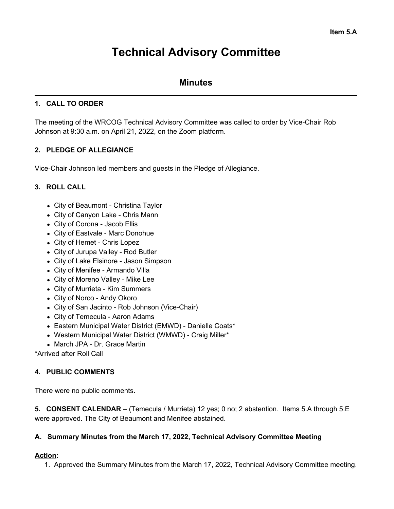# **Technical Advisory Committee**

# **Minutes**

## **1. CALL TO ORDER**

The meeting of the WRCOG Technical Advisory Committee was called to order by Vice-Chair Rob Johnson at 9:30 a.m. on April 21, 2022, on the Zoom platform.

## **2. PLEDGE OF ALLEGIANCE**

Vice-Chair Johnson led members and guests in the Pledge of Allegiance.

## **3. ROLL CALL**

- City of Beaumont Christina Taylor
- City of Canyon Lake Chris Mann
- City of Corona Jacob Ellis
- City of Eastvale Marc Donohue
- City of Hemet Chris Lopez
- City of Jurupa Valley Rod Butler
- City of Lake Elsinore Jason Simpson
- City of Menifee Armando Villa
- City of Moreno Valley Mike Lee
- City of Murrieta Kim Summers
- City of Norco Andy Okoro
- City of San Jacinto Rob Johnson (Vice-Chair)
- City of Temecula Aaron Adams
- Eastern Municipal Water District (EMWD) Danielle Coats\*
- Western Municipal Water District (WMWD) Craig Miller\*
- March JPA Dr. Grace Martin

\*Arrived after Roll Call

## **4. PUBLIC COMMENTS**

There were no public comments.

**5. CONSENT CALENDAR** – (Temecula / Murrieta) 12 yes; 0 no; 2 abstention. Items 5.A through 5.E were approved. The City of Beaumont and Menifee abstained.

#### **A. Summary Minutes from the March 17, 2022, Technical Advisory Committee Meeting**

#### **Action:**

1. Approved the Summary Minutes from the March 17, 2022, Technical Advisory Committee meeting.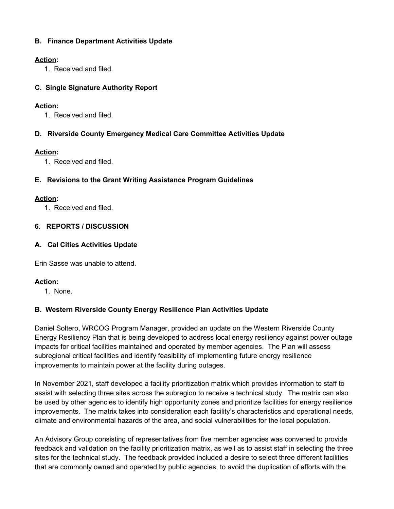## **B. Finance Department Activities Update**

## **Action:**

1. Received and filed.

## **C. Single Signature Authority Report**

## **Action:**

1. Received and filed.

## **D. Riverside County Emergency Medical Care Committee Activities Update**

## **Action:**

1. Received and filed.

## **E. Revisions to the Grant Writing Assistance Program Guidelines**

## **Action:**

1. Received and filed.

## **6. REPORTS / DISCUSSION**

## **A. Cal Cities Activities Update**

Erin Sasse was unable to attend.

## **Action:**

1. None.

## **B. Western Riverside County Energy Resilience Plan Activities Update**

Daniel Soltero, WRCOG Program Manager, provided an update on the Western Riverside County Energy Resiliency Plan that is being developed to address local energy resiliency against power outage impacts for critical facilities maintained and operated by member agencies. The Plan will assess subregional critical facilities and identify feasibility of implementing future energy resilience improvements to maintain power at the facility during outages.

In November 2021, staff developed a facility prioritization matrix which provides information to staff to assist with selecting three sites across the subregion to receive a technical study. The matrix can also be used by other agencies to identify high opportunity zones and prioritize facilities for energy resilience improvements. The matrix takes into consideration each facility's characteristics and operational needs, climate and environmental hazards of the area, and social vulnerabilities for the local population.

An Advisory Group consisting of representatives from five member agencies was convened to provide feedback and validation on the facility prioritization matrix, as well as to assist staff in selecting the three sites for the technical study. The feedback provided included a desire to select three different facilities that are commonly owned and operated by public agencies, to avoid the duplication of efforts with the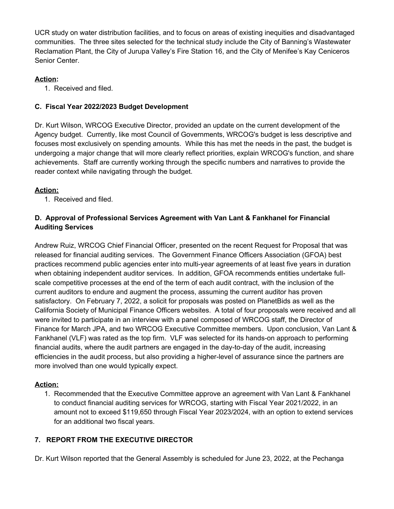UCR study on water distribution facilities, and to focus on areas of existing inequities and disadvantaged communities. The three sites selected for the technical study include the City of Banning's Wastewater Reclamation Plant, the City of Jurupa Valley's Fire Station 16, and the City of Menifee's Kay Ceniceros Senior Center.

## **Action:**

1. Received and filed.

## **C. Fiscal Year 2022/2023 Budget Development**

Dr. Kurt Wilson, WRCOG Executive Director, provided an update on the current development of the Agency budget. Currently, like most Council of Governments, WRCOG's budget is less descriptive and focuses most exclusively on spending amounts. While this has met the needs in the past, the budget is undergoing a major change that will more clearly reflect priorities, explain WRCOG's function, and share achievements. Staff are currently working through the specific numbers and narratives to provide the reader context while navigating through the budget.

## **Action:**

1. Received and filed.

## **D. Approval of Professional Services Agreement with Van Lant & Fankhanel for Financial Auditing Services**

Andrew Ruiz, WRCOG Chief Financial Officer, presented on the recent Request for Proposal that was released for financial auditing services. The Government Finance Officers Association (GFOA) best practices recommend public agencies enter into multi-year agreements of at least five years in duration when obtaining independent auditor services. In addition, GFOA recommends entities undertake fullscale competitive processes at the end of the term of each audit contract, with the inclusion of the current auditors to endure and augment the process, assuming the current auditor has proven satisfactory. On February 7, 2022, a solicit for proposals was posted on PlanetBids as well as the California Society of Municipal Finance Officers websites. A total of four proposals were received and all were invited to participate in an interview with a panel composed of WRCOG staff, the Director of Finance for March JPA, and two WRCOG Executive Committee members. Upon conclusion, Van Lant & Fankhanel (VLF) was rated as the top firm. VLF was selected for its hands-on approach to performing financial audits, where the audit partners are engaged in the day-to-day of the audit, increasing efficiencies in the audit process, but also providing a higher-level of assurance since the partners are more involved than one would typically expect.

## **Action:**

1. Recommended that the Executive Committee approve an agreement with Van Lant & Fankhanel to conduct financial auditing services for WRCOG, starting with Fiscal Year 2021/2022, in an amount not to exceed \$119,650 through Fiscal Year 2023/2024, with an option to extend services for an additional two fiscal years.

## **7. REPORT FROM THE EXECUTIVE DIRECTOR**

Dr. Kurt Wilson reported that the General Assembly is scheduled for June 23, 2022, at the Pechanga